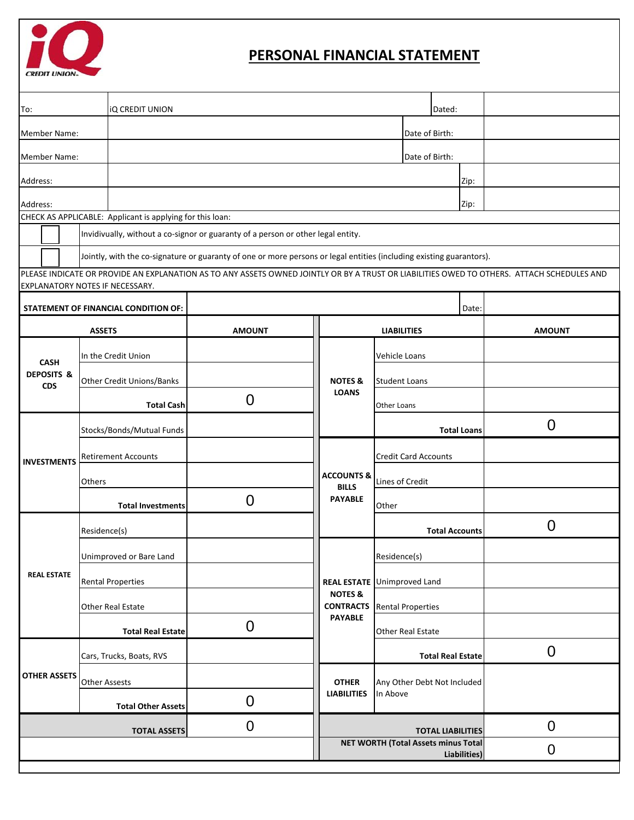

## **PERSONAL FINANCIAL STATEMENT**

| <b>iQ CREDIT UNION</b><br>To:                                                                                                                                                 |                                                           |                                                                                                                      |                                                     |                                         |                          |      | Dated:        |                  |  |  |  |  |
|-------------------------------------------------------------------------------------------------------------------------------------------------------------------------------|-----------------------------------------------------------|----------------------------------------------------------------------------------------------------------------------|-----------------------------------------------------|-----------------------------------------|--------------------------|------|---------------|------------------|--|--|--|--|
| Member Name:                                                                                                                                                                  |                                                           |                                                                                                                      |                                                     | Date of Birth:                          |                          |      |               |                  |  |  |  |  |
| <b>Member Name:</b>                                                                                                                                                           |                                                           |                                                                                                                      |                                                     |                                         | Date of Birth:           |      |               |                  |  |  |  |  |
| Address:                                                                                                                                                                      |                                                           |                                                                                                                      |                                                     |                                         |                          | Zip: |               |                  |  |  |  |  |
| Address:                                                                                                                                                                      |                                                           |                                                                                                                      |                                                     |                                         |                          |      | Zip:          |                  |  |  |  |  |
|                                                                                                                                                                               | CHECK AS APPLICABLE: Applicant is applying for this loan: |                                                                                                                      |                                                     |                                         |                          |      |               |                  |  |  |  |  |
|                                                                                                                                                                               |                                                           | Invidivually, without a co-signor or guaranty of a person or other legal entity.                                     |                                                     |                                         |                          |      |               |                  |  |  |  |  |
|                                                                                                                                                                               |                                                           | Jointly, with the co-signature or guaranty of one or more persons or legal entities (including existing guarantors). |                                                     |                                         |                          |      |               |                  |  |  |  |  |
| PLEASE INDICATE OR PROVIDE AN EXPLANATION AS TO ANY ASSETS OWNED JOINTLY OR BY A TRUST OR LIABILITIES OWED TO OTHERS. ATTACH SCHEDULES AND<br>EXPLANATORY NOTES IF NECESSARY. |                                                           |                                                                                                                      |                                                     |                                         |                          |      |               |                  |  |  |  |  |
|                                                                                                                                                                               | STATEMENT OF FINANCIAL CONDITION OF:                      | Date:                                                                                                                |                                                     |                                         |                          |      |               |                  |  |  |  |  |
|                                                                                                                                                                               | <b>ASSETS</b>                                             | <b>AMOUNT</b>                                                                                                        | <b>LIABILITIES</b>                                  |                                         |                          |      | <b>AMOUNT</b> |                  |  |  |  |  |
|                                                                                                                                                                               | In the Credit Union                                       |                                                                                                                      |                                                     | Vehicle Loans                           |                          |      |               |                  |  |  |  |  |
| <b>CASH</b><br><b>DEPOSITS &amp;</b><br><b>CDS</b>                                                                                                                            | <b>Other Credit Unions/Banks</b>                          |                                                                                                                      | <b>NOTES &amp;</b>                                  |                                         | <b>Student Loans</b>     |      |               |                  |  |  |  |  |
|                                                                                                                                                                               | <b>Total Cash</b>                                         | $\overline{0}$                                                                                                       | <b>LOANS</b>                                        |                                         | Other Loans              |      |               |                  |  |  |  |  |
|                                                                                                                                                                               | Stocks/Bonds/Mutual Funds                                 |                                                                                                                      |                                                     |                                         | <b>Total Loans</b>       |      |               | $\overline{0}$   |  |  |  |  |
|                                                                                                                                                                               | <b>Retirement Accounts</b>                                |                                                                                                                      |                                                     | <b>Credit Card Accounts</b>             |                          |      |               |                  |  |  |  |  |
| <b>INVESTMENTS</b>                                                                                                                                                            | Others                                                    |                                                                                                                      | <b>ACCOUNTS &amp;</b>                               | Lines of Credit                         |                          |      |               |                  |  |  |  |  |
|                                                                                                                                                                               | <b>Total Investments</b>                                  | $\overline{0}$                                                                                                       | <b>BILLS</b><br><b>PAYABLE</b>                      | Other                                   |                          |      |               |                  |  |  |  |  |
|                                                                                                                                                                               | Residence(s)                                              |                                                                                                                      |                                                     | <b>Total Accounts</b>                   |                          |      |               | $\overline{0}$   |  |  |  |  |
|                                                                                                                                                                               | Unimproved or Bare Land                                   |                                                                                                                      |                                                     |                                         | Residence(s)             |      |               |                  |  |  |  |  |
| <b>REAL ESTATE</b>                                                                                                                                                            | <b>Rental Properties</b>                                  |                                                                                                                      | <b>REAL ESTATE</b>                                  |                                         | <b>Unimproved Land</b>   |      |               |                  |  |  |  |  |
|                                                                                                                                                                               | Other Real Estate                                         |                                                                                                                      | <b>NOTES &amp;</b><br><b>CONTRACTS</b>              |                                         | <b>Rental Properties</b> |      |               |                  |  |  |  |  |
|                                                                                                                                                                               | <b>Total Real Estate</b>                                  | $\overline{0}$                                                                                                       | <b>PAYABLE</b>                                      |                                         | <b>Other Real Estate</b> |      |               |                  |  |  |  |  |
| <b>OTHER ASSETS</b>                                                                                                                                                           | Cars, Trucks, Boats, RVS                                  |                                                                                                                      |                                                     |                                         | <b>Total Real Estate</b> |      |               | $\boldsymbol{0}$ |  |  |  |  |
|                                                                                                                                                                               | <b>Other Assests</b>                                      |                                                                                                                      | <b>OTHER</b>                                        | Any Other Debt Not Included<br>In Above |                          |      |               |                  |  |  |  |  |
|                                                                                                                                                                               | <b>Total Other Assets</b>                                 | $\overline{0}$                                                                                                       | <b>LIABILITIES</b>                                  |                                         |                          |      |               |                  |  |  |  |  |
|                                                                                                                                                                               | <b>TOTAL ASSETS</b>                                       | $\overline{0}$                                                                                                       | <b>TOTAL LIABILITIES</b>                            |                                         |                          |      | $\mathbf 0$   |                  |  |  |  |  |
|                                                                                                                                                                               |                                                           |                                                                                                                      | NET WORTH (Total Assets minus Total<br>Liabilities) |                                         |                          |      |               | $\mathbf 0$      |  |  |  |  |
|                                                                                                                                                                               |                                                           |                                                                                                                      |                                                     |                                         |                          |      |               |                  |  |  |  |  |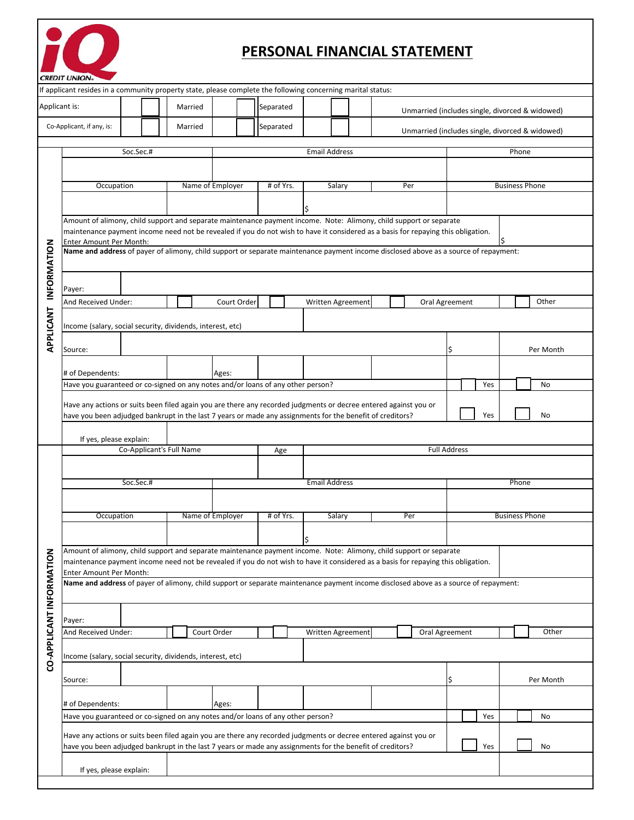

## **PERSONAL FINANCIAL STATEMENT**

| <b>CREDIT UNION®</b>                                                                                         |                                                                                                                                                                 |                          |                  |             |                                                                                                                                   |                                                                                                                                      |                |                                                 |                                                 |                       |           |                       |  |  |  |
|--------------------------------------------------------------------------------------------------------------|-----------------------------------------------------------------------------------------------------------------------------------------------------------------|--------------------------|------------------|-------------|-----------------------------------------------------------------------------------------------------------------------------------|--------------------------------------------------------------------------------------------------------------------------------------|----------------|-------------------------------------------------|-------------------------------------------------|-----------------------|-----------|-----------------------|--|--|--|
| If applicant resides in a community property state, please complete the following concerning marital status: |                                                                                                                                                                 |                          |                  |             |                                                                                                                                   |                                                                                                                                      |                |                                                 |                                                 |                       |           |                       |  |  |  |
| Applicant is:                                                                                                |                                                                                                                                                                 |                          | Married          |             | Separated                                                                                                                         |                                                                                                                                      |                | Unmarried (includes single, divorced & widowed) |                                                 |                       |           |                       |  |  |  |
|                                                                                                              | Co-Applicant, if any, is:                                                                                                                                       |                          | Married          |             | Separated                                                                                                                         |                                                                                                                                      |                |                                                 | Unmarried (includes single, divorced & widowed) |                       |           |                       |  |  |  |
|                                                                                                              |                                                                                                                                                                 |                          |                  |             |                                                                                                                                   |                                                                                                                                      |                |                                                 |                                                 |                       |           |                       |  |  |  |
|                                                                                                              | Soc.Sec.#                                                                                                                                                       |                          |                  |             |                                                                                                                                   | <b>Email Address</b>                                                                                                                 |                |                                                 | Phone                                           |                       |           |                       |  |  |  |
|                                                                                                              |                                                                                                                                                                 |                          |                  |             |                                                                                                                                   |                                                                                                                                      |                |                                                 |                                                 |                       |           |                       |  |  |  |
|                                                                                                              | Occupation                                                                                                                                                      |                          | Name of Employer | # of Yrs.   | Salary                                                                                                                            |                                                                                                                                      | Per            |                                                 |                                                 | <b>Business Phone</b> |           |                       |  |  |  |
|                                                                                                              |                                                                                                                                                                 |                          |                  |             |                                                                                                                                   |                                                                                                                                      |                |                                                 |                                                 |                       |           |                       |  |  |  |
|                                                                                                              | Amount of alimony, child support and separate maintenance payment income. Note: Alimony, child support or separate                                              |                          |                  |             |                                                                                                                                   |                                                                                                                                      |                |                                                 |                                                 |                       |           |                       |  |  |  |
|                                                                                                              |                                                                                                                                                                 |                          |                  |             | maintenance payment income need not be revealed if you do not wish to have it considered as a basis for repaying this obligation. |                                                                                                                                      |                |                                                 |                                                 |                       |           |                       |  |  |  |
| INFORMATION                                                                                                  | Enter Amount Per Month:<br>Name and address of payer of alimony, child support or separate maintenance payment income disclosed above as a source of repayment: |                          |                  |             |                                                                                                                                   |                                                                                                                                      |                |                                                 |                                                 |                       |           |                       |  |  |  |
|                                                                                                              |                                                                                                                                                                 |                          |                  |             |                                                                                                                                   |                                                                                                                                      |                |                                                 |                                                 |                       |           |                       |  |  |  |
|                                                                                                              |                                                                                                                                                                 |                          |                  |             |                                                                                                                                   |                                                                                                                                      |                |                                                 |                                                 |                       |           |                       |  |  |  |
|                                                                                                              | Payer:<br>And Received Under:                                                                                                                                   |                          | Court Order      |             | Written Agreement                                                                                                                 |                                                                                                                                      | Oral Agreement |                                                 |                                                 |                       | Other     |                       |  |  |  |
|                                                                                                              |                                                                                                                                                                 |                          |                  |             |                                                                                                                                   |                                                                                                                                      |                |                                                 |                                                 |                       |           |                       |  |  |  |
|                                                                                                              | Income (salary, social security, dividends, interest, etc)                                                                                                      |                          |                  |             |                                                                                                                                   |                                                                                                                                      |                |                                                 |                                                 |                       |           |                       |  |  |  |
| APPLICANT                                                                                                    |                                                                                                                                                                 |                          |                  |             |                                                                                                                                   |                                                                                                                                      |                |                                                 |                                                 |                       | Per Month |                       |  |  |  |
|                                                                                                              | Source:                                                                                                                                                         |                          |                  |             |                                                                                                                                   |                                                                                                                                      |                |                                                 |                                                 |                       |           |                       |  |  |  |
|                                                                                                              | # of Dependents:                                                                                                                                                |                          |                  | Ages:       |                                                                                                                                   |                                                                                                                                      |                |                                                 |                                                 |                       |           |                       |  |  |  |
|                                                                                                              | Have you guaranteed or co-signed on any notes and/or loans of any other person?                                                                                 |                          |                  |             |                                                                                                                                   |                                                                                                                                      |                |                                                 |                                                 | Yes                   |           | No                    |  |  |  |
|                                                                                                              | Have any actions or suits been filed again you are there any recorded judgments or decree entered against you or                                                |                          |                  |             |                                                                                                                                   |                                                                                                                                      |                |                                                 |                                                 |                       |           |                       |  |  |  |
|                                                                                                              |                                                                                                                                                                 |                          |                  |             |                                                                                                                                   | have you been adjudged bankrupt in the last 7 years or made any assignments for the benefit of creditors?                            |                |                                                 |                                                 | Yes                   |           | No                    |  |  |  |
|                                                                                                              | If yes, please explain:                                                                                                                                         |                          |                  |             |                                                                                                                                   |                                                                                                                                      |                |                                                 |                                                 |                       |           |                       |  |  |  |
|                                                                                                              |                                                                                                                                                                 | Co-Applicant's Full Name |                  | Age         |                                                                                                                                   |                                                                                                                                      |                | <b>Full Address</b>                             |                                                 |                       |           |                       |  |  |  |
|                                                                                                              |                                                                                                                                                                 |                          |                  |             |                                                                                                                                   |                                                                                                                                      |                |                                                 |                                                 |                       |           |                       |  |  |  |
|                                                                                                              | Soc.Sec.#                                                                                                                                                       |                          |                  |             |                                                                                                                                   | <b>Email Address</b>                                                                                                                 |                |                                                 | Phone                                           |                       |           |                       |  |  |  |
|                                                                                                              |                                                                                                                                                                 |                          |                  |             |                                                                                                                                   |                                                                                                                                      |                |                                                 |                                                 |                       |           |                       |  |  |  |
|                                                                                                              |                                                                                                                                                                 | Occupation               |                  |             | # of Yrs.<br>Name of Employer<br>Salary                                                                                           |                                                                                                                                      |                | Per                                             |                                                 |                       |           | <b>Business Phone</b> |  |  |  |
|                                                                                                              |                                                                                                                                                                 |                          |                  |             |                                                                                                                                   |                                                                                                                                      |                |                                                 |                                                 |                       |           |                       |  |  |  |
|                                                                                                              |                                                                                                                                                                 |                          |                  |             |                                                                                                                                   | P<br>Amount of alimony, child support and separate maintenance payment income. Note: Alimony, child support or separate              |                |                                                 |                                                 |                       |           |                       |  |  |  |
|                                                                                                              |                                                                                                                                                                 |                          |                  |             |                                                                                                                                   | maintenance payment income need not be revealed if you do not wish to have it considered as a basis for repaying this obligation.    |                |                                                 |                                                 |                       |           |                       |  |  |  |
|                                                                                                              | Enter Amount Per Month:                                                                                                                                         |                          |                  |             |                                                                                                                                   |                                                                                                                                      |                |                                                 |                                                 |                       |           |                       |  |  |  |
|                                                                                                              |                                                                                                                                                                 |                          |                  |             |                                                                                                                                   | Name and address of payer of alimony, child support or separate maintenance payment income disclosed above as a source of repayment: |                |                                                 |                                                 |                       |           |                       |  |  |  |
|                                                                                                              |                                                                                                                                                                 |                          |                  |             |                                                                                                                                   |                                                                                                                                      |                |                                                 |                                                 |                       |           |                       |  |  |  |
|                                                                                                              | Payer:                                                                                                                                                          |                          |                  |             |                                                                                                                                   |                                                                                                                                      |                |                                                 |                                                 |                       |           |                       |  |  |  |
|                                                                                                              | And Received Under:                                                                                                                                             |                          |                  | Court Order |                                                                                                                                   | Written Agreement                                                                                                                    |                | Oral Agreement                                  |                                                 |                       |           | Other                 |  |  |  |
| CO-APPLICANT INFORMATION                                                                                     | Income (salary, social security, dividends, interest, etc)                                                                                                      |                          |                  |             |                                                                                                                                   |                                                                                                                                      |                |                                                 |                                                 |                       |           |                       |  |  |  |
|                                                                                                              |                                                                                                                                                                 |                          |                  |             |                                                                                                                                   |                                                                                                                                      |                |                                                 |                                                 |                       |           |                       |  |  |  |
|                                                                                                              | Source:                                                                                                                                                         |                          |                  |             |                                                                                                                                   |                                                                                                                                      |                |                                                 | \$                                              |                       |           | Per Month             |  |  |  |
|                                                                                                              | # of Dependents:                                                                                                                                                |                          |                  | Ages:       |                                                                                                                                   |                                                                                                                                      |                |                                                 |                                                 |                       |           |                       |  |  |  |
|                                                                                                              | Have you guaranteed or co-signed on any notes and/or loans of any other person?                                                                                 |                          |                  |             |                                                                                                                                   |                                                                                                                                      |                |                                                 |                                                 | Yes                   |           | No                    |  |  |  |
|                                                                                                              |                                                                                                                                                                 |                          |                  |             |                                                                                                                                   | Have any actions or suits been filed again you are there any recorded judgments or decree entered against you or                     |                |                                                 |                                                 |                       |           |                       |  |  |  |
|                                                                                                              |                                                                                                                                                                 |                          |                  |             |                                                                                                                                   | have you been adjudged bankrupt in the last 7 years or made any assignments for the benefit of creditors?                            |                |                                                 |                                                 | Yes                   |           | No                    |  |  |  |
|                                                                                                              |                                                                                                                                                                 |                          |                  |             |                                                                                                                                   |                                                                                                                                      |                |                                                 |                                                 |                       |           |                       |  |  |  |
|                                                                                                              | If yes, please explain:                                                                                                                                         |                          |                  |             |                                                                                                                                   |                                                                                                                                      |                |                                                 |                                                 |                       |           |                       |  |  |  |